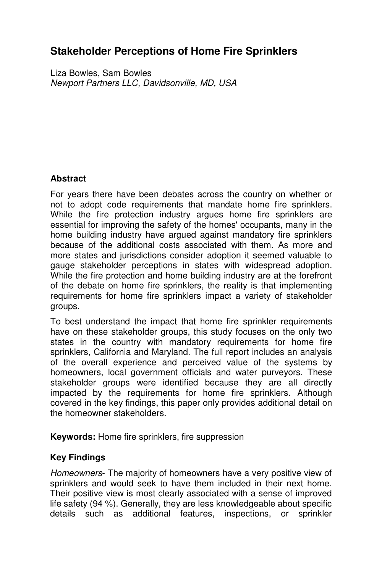# **Stakeholder Perceptions of Home Fire Sprinklers**

Liza Bowles, Sam Bowles Newport Partners LLC, Davidsonville, MD, USA

## **Abstract**

For years there have been debates across the country on whether or not to adopt code requirements that mandate home fire sprinklers. While the fire protection industry argues home fire sprinklers are essential for improving the safety of the homes' occupants, many in the home building industry have argued against mandatory fire sprinklers because of the additional costs associated with them. As more and more states and jurisdictions consider adoption it seemed valuable to gauge stakeholder perceptions in states with widespread adoption. While the fire protection and home building industry are at the forefront of the debate on home fire sprinklers, the reality is that implementing requirements for home fire sprinklers impact a variety of stakeholder groups.

To best understand the impact that home fire sprinkler requirements have on these stakeholder groups, this study focuses on the only two states in the country with mandatory requirements for home fire sprinklers, California and Maryland. The full report includes an analysis of the overall experience and perceived value of the systems by homeowners, local government officials and water purveyors. These stakeholder groups were identified because they are all directly impacted by the requirements for home fire sprinklers. Although covered in the key findings, this paper only provides additional detail on the homeowner stakeholders.

**Keywords:** Home fire sprinklers, fire suppression

### **Key Findings**

Homeowners- The majority of homeowners have a very positive view of sprinklers and would seek to have them included in their next home. Their positive view is most clearly associated with a sense of improved life safety (94 %). Generally, they are less knowledgeable about specific details such as additional features, inspections, or sprinkler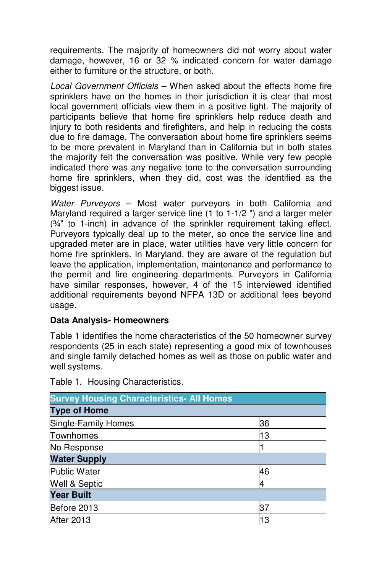requirements. The majority of homeowners did not worry about water damage, however, 16 or 32 % indicated concern for water damage either to furniture or the structure, or both.

Local Government Officials – When asked about the effects home fire sprinklers have on the homes in their jurisdiction it is clear that most local government officials view them in a positive light. The majority of participants believe that home fire sprinklers help reduce death and injury to both residents and firefighters, and help in reducing the costs due to fire damage. The conversation about home fire sprinklers seems to be more prevalent in Maryland than in California but in both states the majority felt the conversation was positive. While very few people indicated there was any negative tone to the conversation surrounding home fire sprinklers, when they did, cost was the identified as the biggest issue.

Water Purveyors – Most water purveyors in both California and Maryland required a larger service line (1 to 1-1/2 ") and a larger meter (¾" to 1-inch) in advance of the sprinkler requirement taking effect. Purveyors typically deal up to the meter, so once the service line and upgraded meter are in place, water utilities have very little concern for home fire sprinklers. In Maryland, they are aware of the regulation but leave the application, implementation, maintenance and performance to the permit and fire engineering departments. Purveyors in California have similar responses, however, 4 of the 15 interviewed identified additional requirements beyond NFPA 13D or additional fees beyond usage.

### **Data Analysis- Homeowners**

Table 1 identifies the home characteristics of the 50 homeowner survey respondents (25 in each state) representing a good mix of townhouses and single family detached homes as well as those on public water and well systems.

| <b>Survey Housing Characteristics- All Homes</b> |    |
|--------------------------------------------------|----|
| <b>Type of Home</b>                              |    |
| Single-Family Homes                              | 36 |
| Townhomes                                        | 13 |
| No Response                                      |    |
| <b>Water Supply</b>                              |    |
| Public Water                                     | 46 |
| Well & Septic                                    |    |
| <b>Year Built</b>                                |    |
| Before 2013                                      | 37 |
| After 2013                                       | 13 |

Table 1. Housing Characteristics.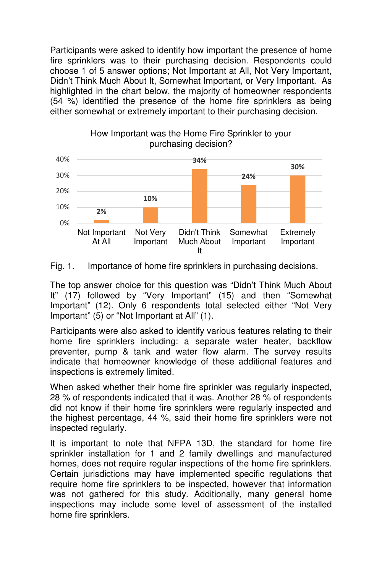Participants were asked to identify how important the presence of home fire sprinklers was to their purchasing decision. Respondents could choose 1 of 5 answer options; Not Important at All, Not Very Important, Didn't Think Much About It, Somewhat Important, or Very Important. As highlighted in the chart below, the majority of homeowner respondents (54 %) identified the presence of the home fire sprinklers as being either somewhat or extremely important to their purchasing decision.



How Important was the Home Fire Sprinkler to your

Fig. 1. Importance of home fire sprinklers in purchasing decisions.

The top answer choice for this question was "Didn't Think Much About It" (17) followed by "Very Important" (15) and then "Somewhat Important" (12). Only 6 respondents total selected either "Not Very Important" (5) or "Not Important at All" (1).

Participants were also asked to identify various features relating to their home fire sprinklers including: a separate water heater, backflow preventer, pump & tank and water flow alarm. The survey results indicate that homeowner knowledge of these additional features and inspections is extremely limited.

When asked whether their home fire sprinkler was regularly inspected, 28 % of respondents indicated that it was. Another 28 % of respondents did not know if their home fire sprinklers were regularly inspected and the highest percentage, 44 %, said their home fire sprinklers were not inspected regularly.

It is important to note that NFPA 13D, the standard for home fire sprinkler installation for 1 and 2 family dwellings and manufactured homes, does not require regular inspections of the home fire sprinklers. Certain jurisdictions may have implemented specific regulations that require home fire sprinklers to be inspected, however that information was not gathered for this study. Additionally, many general home inspections may include some level of assessment of the installed home fire sprinklers.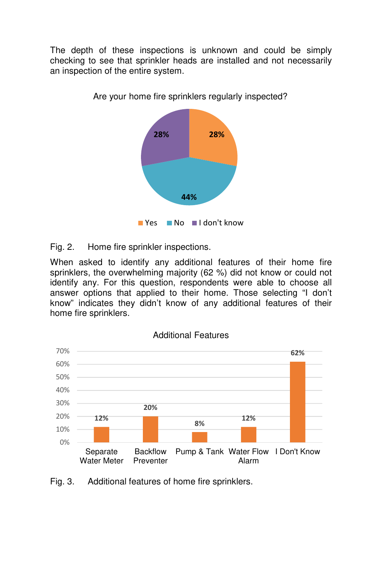The depth of these inspections is unknown and could be simply checking to see that sprinkler heads are installed and not necessarily an inspection of the entire system.



Are your home fire sprinklers regularly inspected?

Fig. 2. Home fire sprinkler inspections.

When asked to identify any additional features of their home fire sprinklers, the overwhelming majority (62 %) did not know or could not identify any. For this question, respondents were able to choose all answer options that applied to their home. Those selecting "I don't know" indicates they didn't know of any additional features of their home fire sprinklers.



Additional Features

Fig. 3. Additional features of home fire sprinklers.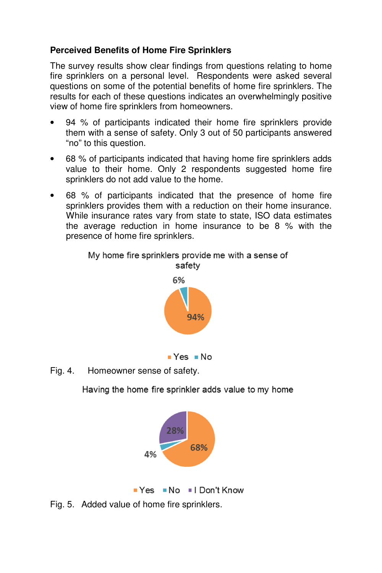# **Perceived Benefits of Home Fire Sprinklers**

The survey results show clear findings from questions relating to home fire sprinklers on a personal level. Respondents were asked several questions on some of the potential benefits of home fire sprinklers. The results for each of these questions indicates an overwhelmingly positive view of home fire sprinklers from homeowners.

- 94 % of participants indicated their home fire sprinklers provide them with a sense of safety. Only 3 out of 50 participants answered "no" to this question.
- 68 % of participants indicated that having home fire sprinklers adds value to their home. Only 2 respondents suggested home fire sprinklers do not add value to the home.
- 68 % of participants indicated that the presence of home fire sprinklers provides them with a reduction on their home insurance. While insurance rates vary from state to state, ISO data estimates the average reduction in home insurance to be 8 % with the presence of home fire sprinklers.





Fig. 4. Homeowner sense of safety.

Having the home fire sprinkler adds value to my home





Fig. 5. Added value of home fire sprinklers.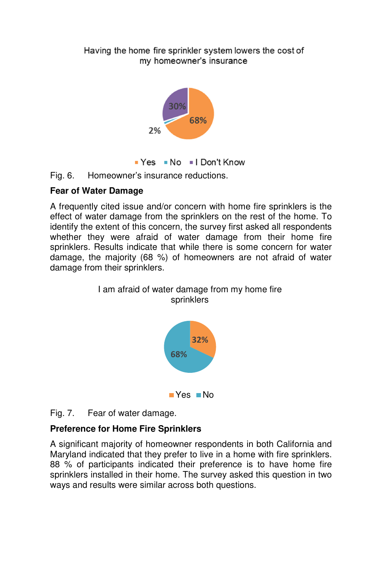Having the home fire sprinkler system lowers the cost of my homeowner's insurance



Yes No I Don't Know

Fig. 6. Homeowner's insurance reductions.

# **Fear of Water Damage**

A frequently cited issue and/or concern with home fire sprinklers is the effect of water damage from the sprinklers on the rest of the home. To identify the extent of this concern, the survey first asked all respondents whether they were afraid of water damage from their home fire sprinklers. Results indicate that while there is some concern for water damage, the majority (68 %) of homeowners are not afraid of water damage from their sprinklers.



 $\blacksquare$  Yes  $\blacksquare$  No

Fig. 7. Fear of water damage.

# **Preference for Home Fire Sprinklers**

A significant majority of homeowner respondents in both California and Maryland indicated that they prefer to live in a home with fire sprinklers. 88 % of participants indicated their preference is to have home fire sprinklers installed in their home. The survey asked this question in two ways and results were similar across both questions.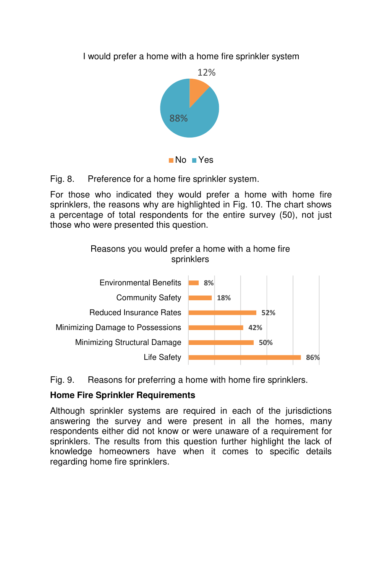I would prefer a home with a home fire sprinkler system



Fig. 8. Preference for a home fire sprinkler system.

For those who indicated they would prefer a home with home fire sprinklers, the reasons why are highlighted in Fig. 10. The chart shows a percentage of total respondents for the entire survey (50), not just those who were presented this question.



Fig. 9. Reasons for preferring a home with home fire sprinklers.

### **Home Fire Sprinkler Requirements**

Although sprinkler systems are required in each of the jurisdictions answering the survey and were present in all the homes, many respondents either did not know or were unaware of a requirement for sprinklers. The results from this question further highlight the lack of knowledge homeowners have when it comes to specific details regarding home fire sprinklers.